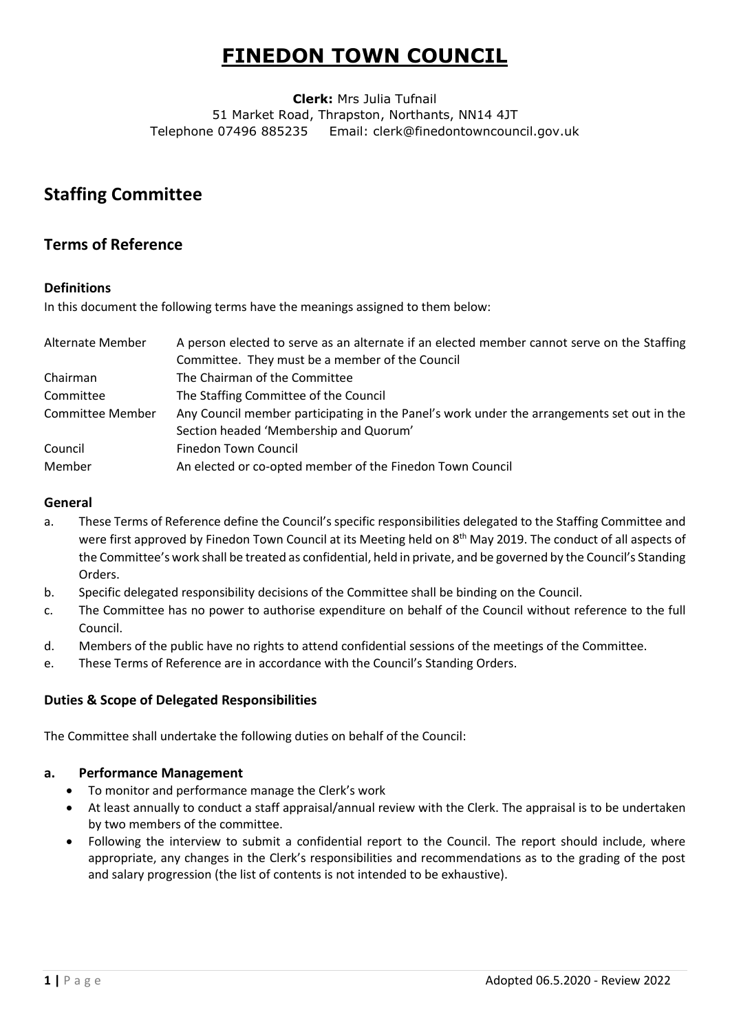### **FINEDON TOWN COUNCIL**

**Clerk:** Mrs Julia Tufnail 51 Market Road, Thrapston, Northants, NN14 4JT Telephone 07496 885235 Email: clerk@finedontowncouncil.gov.uk

### **Staffing Committee**

### **Terms of Reference**

#### **Definitions**

In this document the following terms have the meanings assigned to them below:

| Alternate Member | A person elected to serve as an alternate if an elected member cannot serve on the Staffing |
|------------------|---------------------------------------------------------------------------------------------|
|                  | Committee. They must be a member of the Council                                             |
| Chairman         | The Chairman of the Committee                                                               |
| Committee        | The Staffing Committee of the Council                                                       |
| Committee Member | Any Council member participating in the Panel's work under the arrangements set out in the  |
|                  | Section headed 'Membership and Quorum'                                                      |
| Council          | Finedon Town Council                                                                        |
| Member           | An elected or co-opted member of the Finedon Town Council                                   |

#### **General**

- a. These Terms of Reference define the Council's specific responsibilities delegated to the Staffing Committee and were first approved by Finedon Town Council at its Meeting held on 8<sup>th</sup> May 2019. The conduct of all aspects of the Committee's work shall be treated as confidential, held in private, and be governed by the Council's Standing Orders.
- b. Specific delegated responsibility decisions of the Committee shall be binding on the Council.
- c. The Committee has no power to authorise expenditure on behalf of the Council without reference to the full Council.
- d. Members of the public have no rights to attend confidential sessions of the meetings of the Committee.
- e. These Terms of Reference are in accordance with the Council's Standing Orders.

#### **Duties & Scope of Delegated Responsibilities**

The Committee shall undertake the following duties on behalf of the Council:

#### **a. Performance Management**

- To monitor and performance manage the Clerk's work
- At least annually to conduct a staff appraisal/annual review with the Clerk. The appraisal is to be undertaken by two members of the committee.
- Following the interview to submit a confidential report to the Council. The report should include, where appropriate, any changes in the Clerk's responsibilities and recommendations as to the grading of the post and salary progression (the list of contents is not intended to be exhaustive).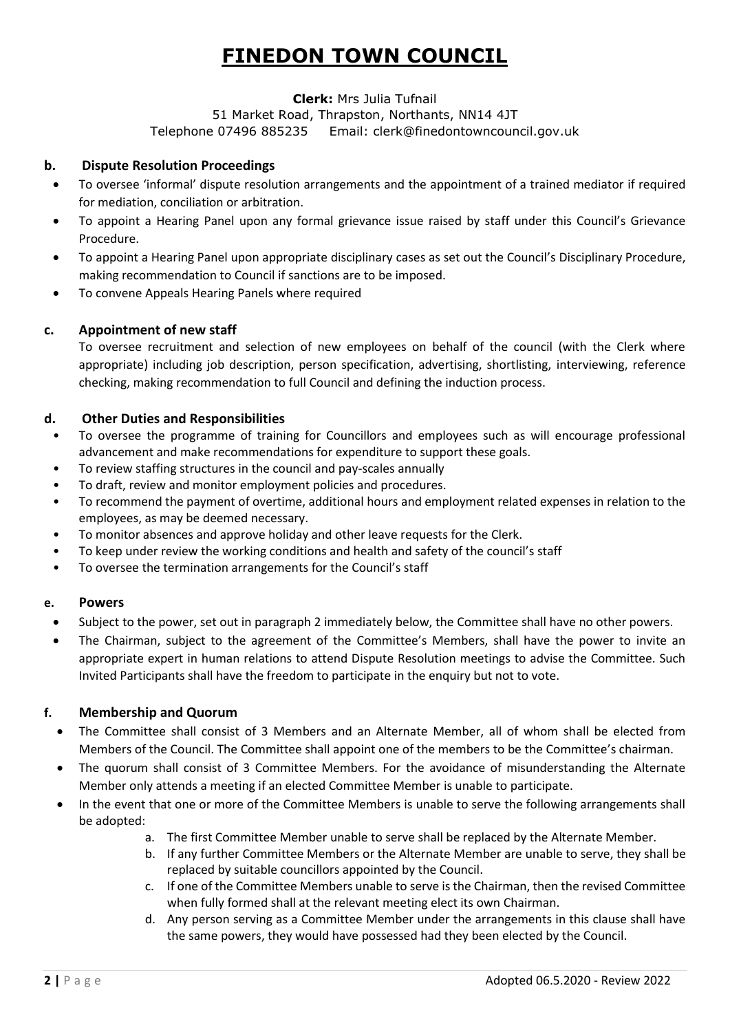# **FINEDON TOWN COUNCIL**

#### **Clerk:** Mrs Julia Tufnail

51 Market Road, Thrapston, Northants, NN14 4JT

Telephone 07496 885235 Email: clerk@finedontowncouncil.gov.uk

#### **b. Dispute Resolution Proceedings**

- To oversee 'informal' dispute resolution arrangements and the appointment of a trained mediator if required for mediation, conciliation or arbitration.
- To appoint a Hearing Panel upon any formal grievance issue raised by staff under this Council's Grievance Procedure.
- To appoint a Hearing Panel upon appropriate disciplinary cases as set out the Council's Disciplinary Procedure, making recommendation to Council if sanctions are to be imposed.
- To convene Appeals Hearing Panels where required

#### **c. Appointment of new staff**

To oversee recruitment and selection of new employees on behalf of the council (with the Clerk where appropriate) including job description, person specification, advertising, shortlisting, interviewing, reference checking, making recommendation to full Council and defining the induction process.

#### **d. Other Duties and Responsibilities**

- To oversee the programme of training for Councillors and employees such as will encourage professional advancement and make recommendations for expenditure to support these goals.
- To review staffing structures in the council and pay-scales annually
- To draft, review and monitor employment policies and procedures.
- To recommend the payment of overtime, additional hours and employment related expenses in relation to the employees, as may be deemed necessary.
- To monitor absences and approve holiday and other leave requests for the Clerk.
- To keep under review the working conditions and health and safety of the council's staff
- To oversee the termination arrangements for the Council's staff

#### **e. Powers**

- Subject to the power, set out in paragraph 2 immediately below, the Committee shall have no other powers.
- The Chairman, subject to the agreement of the Committee's Members, shall have the power to invite an appropriate expert in human relations to attend Dispute Resolution meetings to advise the Committee. Such Invited Participants shall have the freedom to participate in the enquiry but not to vote.

#### **f. Membership and Quorum**

- The Committee shall consist of 3 Members and an Alternate Member, all of whom shall be elected from Members of the Council. The Committee shall appoint one of the members to be the Committee's chairman.
- The quorum shall consist of 3 Committee Members. For the avoidance of misunderstanding the Alternate Member only attends a meeting if an elected Committee Member is unable to participate.
- In the event that one or more of the Committee Members is unable to serve the following arrangements shall be adopted:
	- a. The first Committee Member unable to serve shall be replaced by the Alternate Member.
	- b. If any further Committee Members or the Alternate Member are unable to serve, they shall be replaced by suitable councillors appointed by the Council.
	- c. If one of the Committee Members unable to serve is the Chairman, then the revised Committee when fully formed shall at the relevant meeting elect its own Chairman.
	- d. Any person serving as a Committee Member under the arrangements in this clause shall have the same powers, they would have possessed had they been elected by the Council.